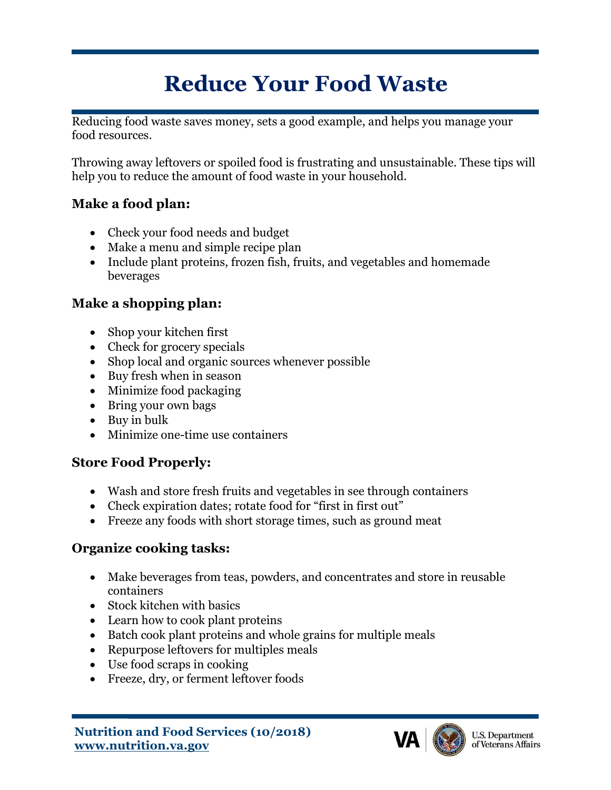# **Reduce Your Food Waste**

Reducing food waste saves money, sets a good example, and helps you manage your food resources.

Throwing away leftovers or spoiled food is frustrating and unsustainable. These tips will help you to reduce the amount of food waste in your household.

### **Make a food plan:**

- Check your food needs and budget
- Make a menu and simple recipe plan
- Include plant proteins, frozen fish, fruits, and vegetables and homemade beverages

## **Make a shopping plan:**

- Shop your kitchen first
- Check for grocery specials
- Shop local and organic sources whenever possible
- Buy fresh when in season
- Minimize food packaging
- Bring your own bags
- Buy in bulk
- Minimize one-time use containers

### **Store Food Properly:**

- Wash and store fresh fruits and vegetables in see through containers
- Check expiration dates; rotate food for "first in first out"
- Freeze any foods with short storage times, such as ground meat

## **Organize cooking tasks:**

- Make beverages from teas, powders, and concentrates and store in reusable containers
- Stock kitchen with basics
- Learn how to cook plant proteins
- Batch cook plant proteins and whole grains for multiple meals
- Repurpose leftovers for multiples meals
- Use food scraps in cooking
- Freeze, dry, or ferment leftover foods